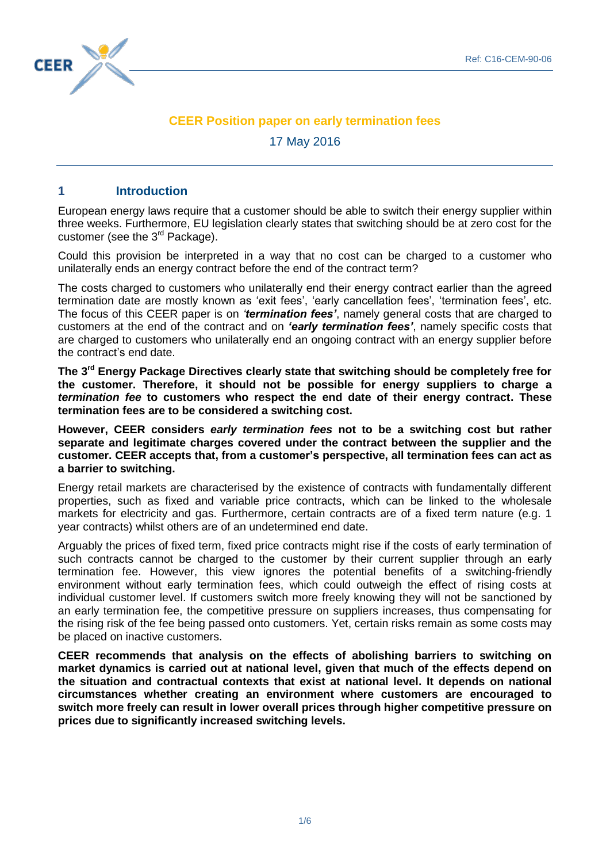

# **CEER Position paper on early termination fees**

17 May 2016

## **1 Introduction**

European energy laws require that a customer should be able to switch their energy supplier within three weeks. Furthermore, EU legislation clearly states that switching should be at zero cost for the customer (see the  $3<sup>rd</sup>$  Package).

Could this provision be interpreted in a way that no cost can be charged to a customer who unilaterally ends an energy contract before the end of the contract term?

The costs charged to customers who unilaterally end their energy contract earlier than the agreed termination date are mostly known as 'exit fees', 'early cancellation fees', 'termination fees', etc. The focus of this CEER paper is on *'termination fees'*, namely general costs that are charged to customers at the end of the contract and on *'early termination fees'*, namely specific costs that are charged to customers who unilaterally end an ongoing contract with an energy supplier before the contract's end date.

**The 3 rd Energy Package Directives clearly state that switching should be completely free for the customer. Therefore, it should not be possible for energy suppliers to charge a**  *termination fee* **to customers who respect the end date of their energy contract. These termination fees are to be considered a switching cost.**

**However, CEER considers** *early termination fees* **not to be a switching cost but rather separate and legitimate charges covered under the contract between the supplier and the customer. CEER accepts that, from a customer's perspective, all termination fees can act as a barrier to switching.**

Energy retail markets are characterised by the existence of contracts with fundamentally different properties, such as fixed and variable price contracts, which can be linked to the wholesale markets for electricity and gas. Furthermore, certain contracts are of a fixed term nature (e.g. 1 year contracts) whilst others are of an undetermined end date.

Arguably the prices of fixed term, fixed price contracts might rise if the costs of early termination of such contracts cannot be charged to the customer by their current supplier through an early termination fee. However, this view ignores the potential benefits of a switching-friendly environment without early termination fees, which could outweigh the effect of rising costs at individual customer level. If customers switch more freely knowing they will not be sanctioned by an early termination fee, the competitive pressure on suppliers increases, thus compensating for the rising risk of the fee being passed onto customers. Yet, certain risks remain as some costs may be placed on inactive customers.

**CEER recommends that analysis on the effects of abolishing barriers to switching on market dynamics is carried out at national level, given that much of the effects depend on the situation and contractual contexts that exist at national level. It depends on national circumstances whether creating an environment where customers are encouraged to switch more freely can result in lower overall prices through higher competitive pressure on prices due to significantly increased switching levels.**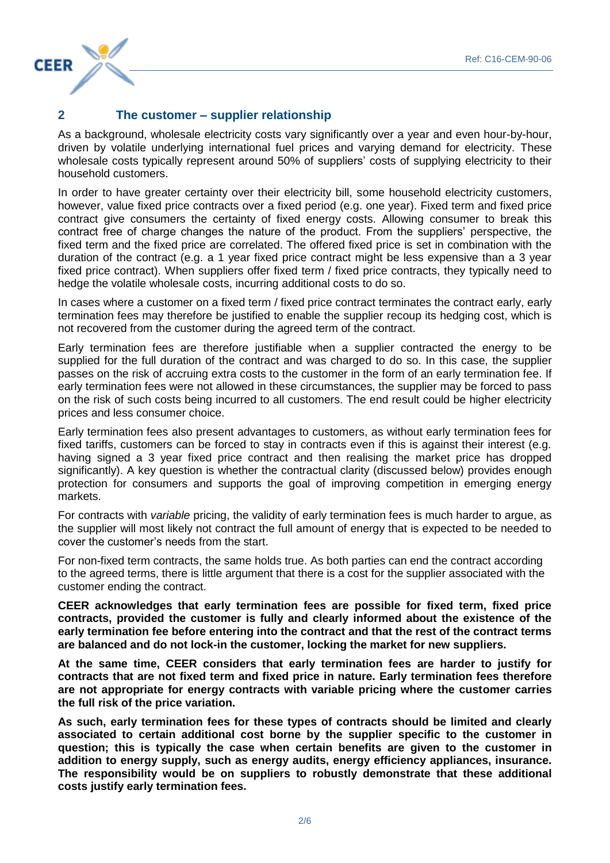# $\sqrt{2}$ **CEER**

# **2 The customer – supplier relationship**

As a background, wholesale electricity costs vary significantly over a year and even hour-by-hour, driven by volatile underlying international fuel prices and varying demand for electricity. These wholesale costs typically represent around 50% of suppliers' costs of supplying electricity to their household customers.

In order to have greater certainty over their electricity bill, some household electricity customers, however, value fixed price contracts over a fixed period (e.g. one year). Fixed term and fixed price contract give consumers the certainty of fixed energy costs. Allowing consumer to break this contract free of charge changes the nature of the product. From the suppliers' perspective, the fixed term and the fixed price are correlated. The offered fixed price is set in combination with the duration of the contract (e.g. a 1 year fixed price contract might be less expensive than a 3 year fixed price contract). When suppliers offer fixed term / fixed price contracts, they typically need to hedge the volatile wholesale costs, incurring additional costs to do so.

In cases where a customer on a fixed term / fixed price contract terminates the contract early, early termination fees may therefore be justified to enable the supplier recoup its hedging cost, which is not recovered from the customer during the agreed term of the contract.

Early termination fees are therefore justifiable when a supplier contracted the energy to be supplied for the full duration of the contract and was charged to do so. In this case, the supplier passes on the risk of accruing extra costs to the customer in the form of an early termination fee. If early termination fees were not allowed in these circumstances, the supplier may be forced to pass on the risk of such costs being incurred to all customers. The end result could be higher electricity prices and less consumer choice.

Early termination fees also present advantages to customers, as without early termination fees for fixed tariffs, customers can be forced to stay in contracts even if this is against their interest (e.g. having signed a 3 year fixed price contract and then realising the market price has dropped significantly). A key question is whether the contractual clarity (discussed below) provides enough protection for consumers and supports the goal of improving competition in emerging energy markets.

For contracts with *variable* pricing, the validity of early termination fees is much harder to argue, as the supplier will most likely not contract the full amount of energy that is expected to be needed to cover the customer's needs from the start.

For non-fixed term contracts, the same holds true. As both parties can end the contract according to the agreed terms, there is little argument that there is a cost for the supplier associated with the customer ending the contract.

**CEER acknowledges that early termination fees are possible for fixed term, fixed price contracts, provided the customer is fully and clearly informed about the existence of the early termination fee before entering into the contract and that the rest of the contract terms are balanced and do not lock-in the customer, locking the market for new suppliers.** 

**At the same time, CEER considers that early termination fees are harder to justify for contracts that are not fixed term and fixed price in nature. Early termination fees therefore are not appropriate for energy contracts with variable pricing where the customer carries the full risk of the price variation.** 

**As such, early termination fees for these types of contracts should be limited and clearly associated to certain additional cost borne by the supplier specific to the customer in question; this is typically the case when certain benefits are given to the customer in addition to energy supply, such as energy audits, energy efficiency appliances, insurance. The responsibility would be on suppliers to robustly demonstrate that these additional costs justify early termination fees.**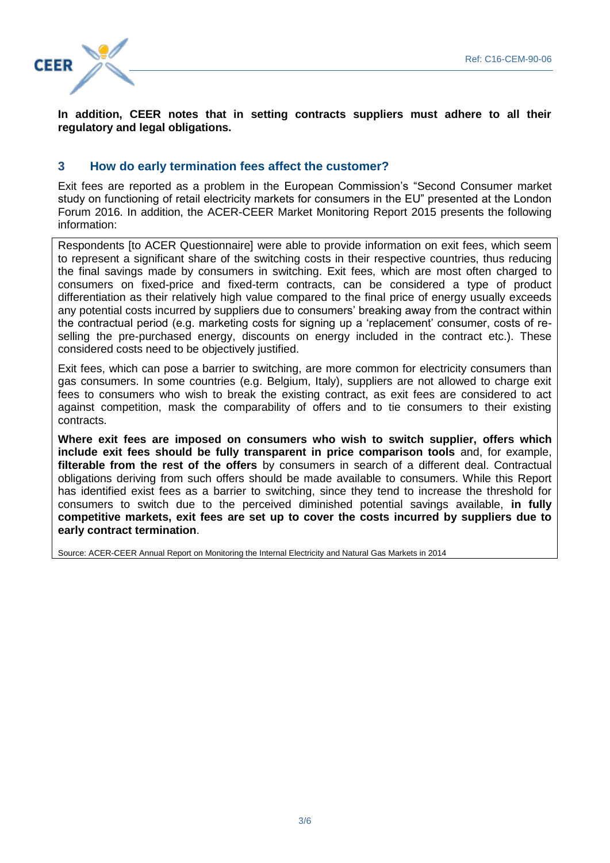

**In addition, CEER notes that in setting contracts suppliers must adhere to all their regulatory and legal obligations.**

## **3 How do early termination fees affect the customer?**

Exit fees are reported as a problem in the European Commission's "Second Consumer market study on functioning of retail electricity markets for consumers in the EU" presented at the London Forum 2016. In addition, the ACER-CEER Market Monitoring Report 2015 presents the following information:

Respondents [to ACER Questionnaire] were able to provide information on exit fees, which seem to represent a significant share of the switching costs in their respective countries, thus reducing the final savings made by consumers in switching. Exit fees, which are most often charged to consumers on fixed-price and fixed-term contracts, can be considered a type of product differentiation as their relatively high value compared to the final price of energy usually exceeds any potential costs incurred by suppliers due to consumers' breaking away from the contract within the contractual period (e.g. marketing costs for signing up a 'replacement' consumer, costs of reselling the pre-purchased energy, discounts on energy included in the contract etc.). These considered costs need to be objectively justified.

Exit fees, which can pose a barrier to switching, are more common for electricity consumers than gas consumers. In some countries (e.g. Belgium, Italy), suppliers are not allowed to charge exit fees to consumers who wish to break the existing contract, as exit fees are considered to act against competition, mask the comparability of offers and to tie consumers to their existing contracts.

**Where exit fees are imposed on consumers who wish to switch supplier, offers which include exit fees should be fully transparent in price comparison tools** and, for example, **filterable from the rest of the offers** by consumers in search of a different deal. Contractual obligations deriving from such offers should be made available to consumers. While this Report has identified exist fees as a barrier to switching, since they tend to increase the threshold for consumers to switch due to the perceived diminished potential savings available, **in fully competitive markets, exit fees are set up to cover the costs incurred by suppliers due to early contract termination**.

Source: ACER-CEER Annual Report on Monitoring the Internal Electricity and Natural Gas Markets in 2014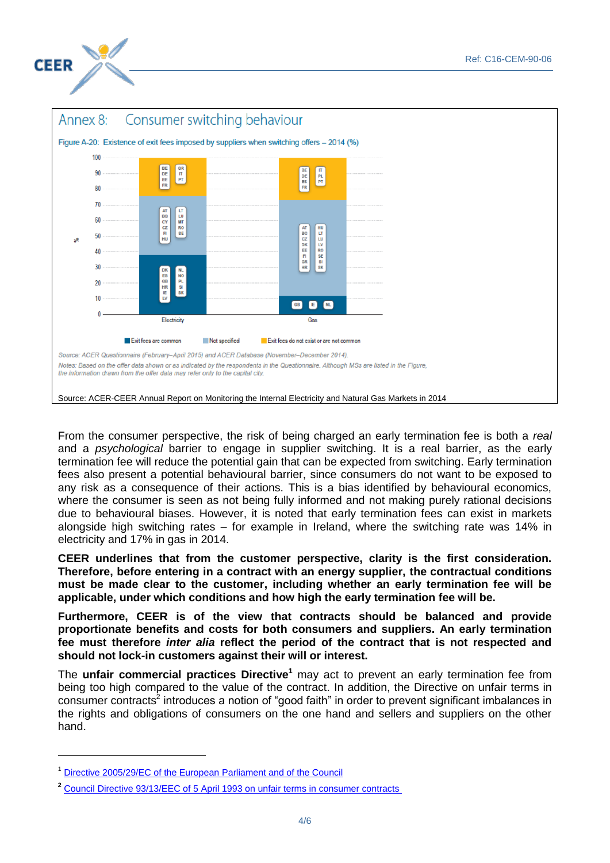



From the consumer perspective, the risk of being charged an early termination fee is both a *real*  and a *psychological* barrier to engage in supplier switching. It is a real barrier, as the early termination fee will reduce the potential gain that can be expected from switching. Early termination fees also present a potential behavioural barrier, since consumers do not want to be exposed to any risk as a consequence of their actions. This is a bias identified by behavioural economics, where the consumer is seen as not being fully informed and not making purely rational decisions due to behavioural biases. However, it is noted that early termination fees can exist in markets alongside high switching rates – for example in Ireland, where the switching rate was 14% in electricity and 17% in gas in 2014.

**CEER underlines that from the customer perspective, clarity is the first consideration. Therefore, before entering in a contract with an energy supplier, the contractual conditions must be made clear to the customer, including whether an early termination fee will be applicable, under which conditions and how high the early termination fee will be.** 

**Furthermore, CEER is of the view that contracts should be balanced and provide proportionate benefits and costs for both consumers and suppliers. An early termination fee must therefore** *inter alia* **reflect the period of the contract that is not respected and should not lock-in customers against their will or interest.**

The **unfair commercial practices Directive<sup>1</sup>** may act to prevent an early termination fee from being too high compared to the value of the contract. In addition, the Directive on unfair terms in consumer contracts<sup>2</sup> introduces a notion of "good faith" in order to prevent significant imbalances in the rights and obligations of consumers on the one hand and sellers and suppliers on the other hand.

-

<sup>1</sup> [Directive 2005/29/EC of the European Parliament and of the Council](http://eur-lex.europa.eu/LexUriServ/LexUriServ.do?uri=OJ:L:2005:149:0022:0039:EN:PDF)

**<sup>2</sup>** Council Directive [93/13/EEC](http://eur-lex.europa.eu/legal-content/EN/TXT/?uri=CELEX:31993L0013) of 5 April 1993 on unfair terms in consumer contracts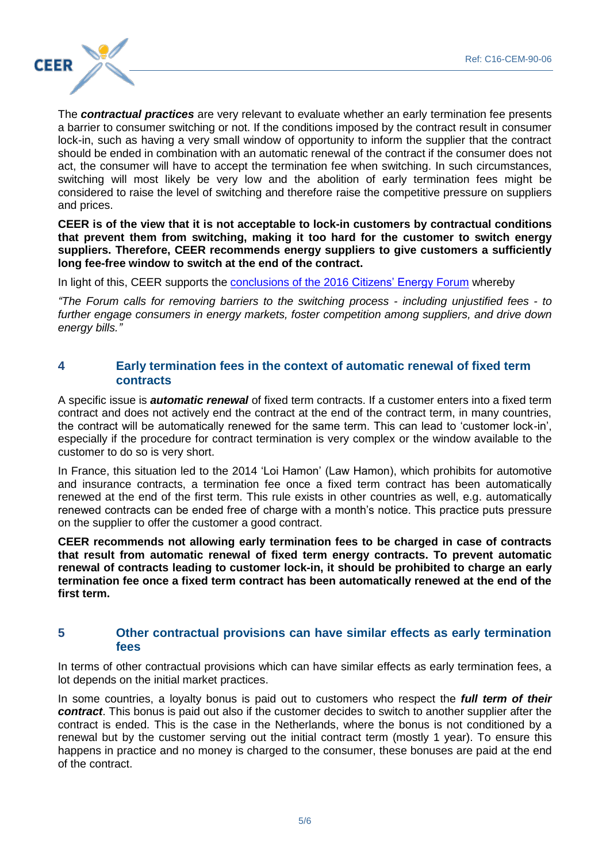

The *contractual practices* are very relevant to evaluate whether an early termination fee presents a barrier to consumer switching or not. If the conditions imposed by the contract result in consumer lock-in, such as having a very small window of opportunity to inform the supplier that the contract should be ended in combination with an automatic renewal of the contract if the consumer does not act, the consumer will have to accept the termination fee when switching. In such circumstances, switching will most likely be very low and the abolition of early termination fees might be considered to raise the level of switching and therefore raise the competitive pressure on suppliers and prices.

**CEER is of the view that it is not acceptable to lock-in customers by contractual conditions that prevent them from switching, making it too hard for the customer to switch energy suppliers. Therefore, CEER recommends energy suppliers to give customers a sufficiently long fee-free window to switch at the end of the contract.** 

In light of this, CEER supports the conclusions of the 2016 [Citizens' Energy Forum](https://ec.europa.eu/energy/sites/ener/files/Conclusions.pdf) whereby

*"The Forum calls for removing barriers to the switching process - including unjustified fees - to further engage consumers in energy markets, foster competition among suppliers, and drive down energy bills."*

### **4 Early termination fees in the context of automatic renewal of fixed term contracts**

A specific issue is *automatic renewal* of fixed term contracts. If a customer enters into a fixed term contract and does not actively end the contract at the end of the contract term, in many countries, the contract will be automatically renewed for the same term. This can lead to 'customer lock-in', especially if the procedure for contract termination is very complex or the window available to the customer to do so is very short.

In France, this situation led to the 2014 'Loi Hamon' (Law Hamon), which prohibits for automotive and insurance contracts, a termination fee once a fixed term contract has been automatically renewed at the end of the first term. This rule exists in other countries as well, e.g. automatically renewed contracts can be ended free of charge with a month's notice. This practice puts pressure on the supplier to offer the customer a good contract.

**CEER recommends not allowing early termination fees to be charged in case of contracts that result from automatic renewal of fixed term energy contracts. To prevent automatic renewal of contracts leading to customer lock-in, it should be prohibited to charge an early termination fee once a fixed term contract has been automatically renewed at the end of the first term.**

#### **5 Other contractual provisions can have similar effects as early termination fees**

In terms of other contractual provisions which can have similar effects as early termination fees, a lot depends on the initial market practices.

In some countries, a loyalty bonus is paid out to customers who respect the *full term of their contract*. This bonus is paid out also if the customer decides to switch to another supplier after the contract is ended. This is the case in the Netherlands, where the bonus is not conditioned by a renewal but by the customer serving out the initial contract term (mostly 1 year). To ensure this happens in practice and no money is charged to the consumer, these bonuses are paid at the end of the contract.